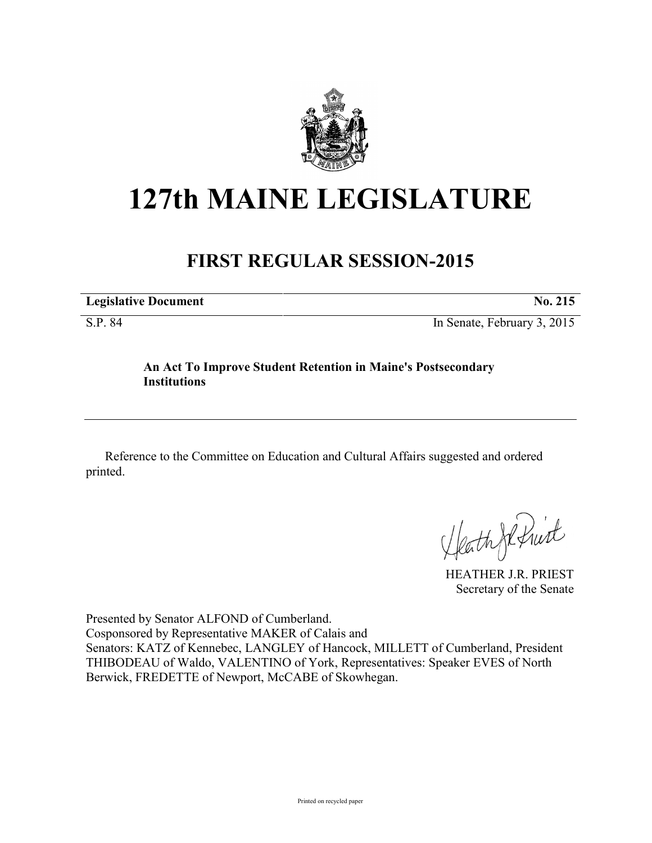

## **127th MAINE LEGISLATURE**

## **FIRST REGULAR SESSION-2015**

**Legislative Document No. 215** 

S.P. 84 In Senate, February 3, 2015

## **An Act To Improve Student Retention in Maine's Postsecondary Institutions**

Reference to the Committee on Education and Cultural Affairs suggested and ordered printed.

Heath Je Print

HEATHER J.R. PRIEST Secretary of the Senate

Presented by Senator ALFOND of Cumberland. Cosponsored by Representative MAKER of Calais and Senators: KATZ of Kennebec, LANGLEY of Hancock, MILLETT of Cumberland, President THIBODEAU of Waldo, VALENTINO of York, Representatives: Speaker EVES of North Berwick, FREDETTE of Newport, McCABE of Skowhegan.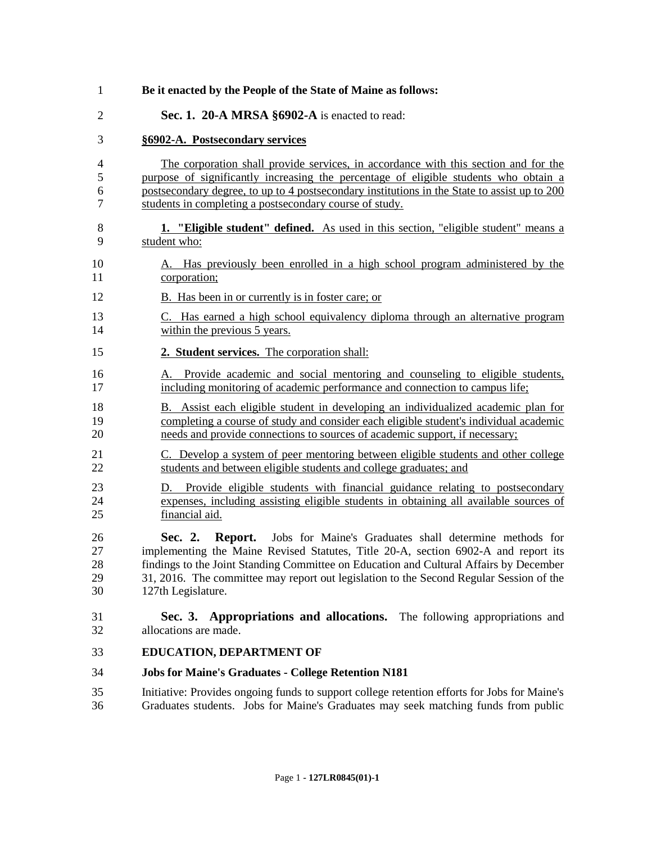| Be it enacted by the People of the State of Maine as follows:                                                                                                                                                                                                                                                                                                                 |  |  |
|-------------------------------------------------------------------------------------------------------------------------------------------------------------------------------------------------------------------------------------------------------------------------------------------------------------------------------------------------------------------------------|--|--|
| Sec. 1. 20-A MRSA §6902-A is enacted to read:                                                                                                                                                                                                                                                                                                                                 |  |  |
| §6902-A. Postsecondary services                                                                                                                                                                                                                                                                                                                                               |  |  |
| The corporation shall provide services, in accordance with this section and for the<br>purpose of significantly increasing the percentage of eligible students who obtain a<br>postsecondary degree, to up to 4 postsecondary institutions in the State to assist up to 200<br>students in completing a postsecondary course of study.                                        |  |  |
| <b>1.</b> "Eligible student" defined. As used in this section, "eligible student" means a<br>student who:                                                                                                                                                                                                                                                                     |  |  |
| A. Has previously been enrolled in a high school program administered by the<br>corporation;                                                                                                                                                                                                                                                                                  |  |  |
| B. Has been in or currently is in foster care; or                                                                                                                                                                                                                                                                                                                             |  |  |
| C. Has earned a high school equivalency diploma through an alternative program<br>within the previous 5 years.                                                                                                                                                                                                                                                                |  |  |
| 2. Student services. The corporation shall:                                                                                                                                                                                                                                                                                                                                   |  |  |
| Provide academic and social mentoring and counseling to eligible students,<br>А.<br>including monitoring of academic performance and connection to campus life;                                                                                                                                                                                                               |  |  |
| B. Assist each eligible student in developing an individualized academic plan for<br>completing a course of study and consider each eligible student's individual academic<br>needs and provide connections to sources of academic support, if necessary;                                                                                                                     |  |  |
| C. Develop a system of peer mentoring between eligible students and other college<br>students and between eligible students and college graduates; and                                                                                                                                                                                                                        |  |  |
| Provide eligible students with financial guidance relating to postsecondary<br>D.<br>expenses, including assisting eligible students in obtaining all available sources of<br>financial aid.                                                                                                                                                                                  |  |  |
| Jobs for Maine's Graduates shall determine methods for<br>Sec. 2.<br>Report.<br>implementing the Maine Revised Statutes, Title 20-A, section 6902-A and report its<br>findings to the Joint Standing Committee on Education and Cultural Affairs by December<br>31, 2016. The committee may report out legislation to the Second Regular Session of the<br>127th Legislature. |  |  |
| <b>Appropriations and allocations.</b> The following appropriations and<br>Sec. 3.<br>allocations are made.                                                                                                                                                                                                                                                                   |  |  |
| <b>EDUCATION, DEPARTMENT OF</b>                                                                                                                                                                                                                                                                                                                                               |  |  |
| <b>Jobs for Maine's Graduates - College Retention N181</b>                                                                                                                                                                                                                                                                                                                    |  |  |

 Initiative: Provides ongoing funds to support college retention efforts for Jobs for Maine's Graduates students. Jobs for Maine's Graduates may seek matching funds from public